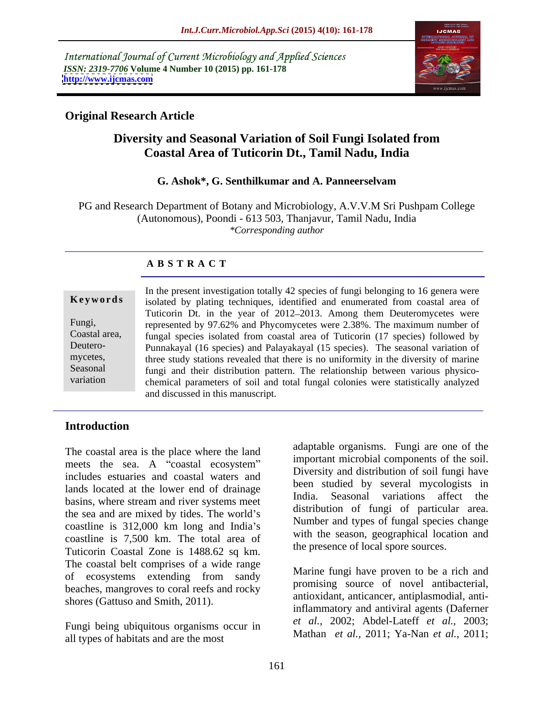International Journal of Current Microbiology and Applied Sciences *ISSN: 2319-7706* **Volume 4 Number 10 (2015) pp. 161-178 <http://www.ijcmas.com>**



## **Original Research Article**

# **Diversity and Seasonal Variation of Soil Fungi Isolated from Coastal Area of Tuticorin Dt., Tamil Nadu, India**

### **G. Ashok\*, G. Senthilkumar and A. Panneerselvam**

PG and Research Department of Botany and Microbiology, A.V.V.M Sri Pushpam College (Autonomous), Poondi - 613 503, Thanjavur, Tamil Nadu, India *\*Corresponding author*

## **A B S T R A C T**

In the present investigation totally 42 species of fungi belonging to 16 genera were Keywords isolated by plating techniques, identified and enumerated from coastal area of Tuticorin Dt. in the year of 2012-2013. Among them Deuteromycetes were Fungi, represented by 97.62% and Phycomycetes were 2.38%. The maximum number of Coastal area, fungal species isolated from coastal area of Tuticorin (17 species) followed by Deutero-<br>
Punnakayal (16 species) and Palayakayal (15 species). The seasonal variation of mycetes, three study stations revealed that there is no uniformity in the diversity of marine Seasonal fungi and their distribution pattern. The relationship between various physicochemical parameters of soil and total fungal colonies were statistically analyzed and discussed in this manuscript. variation

## **Introduction**

The coastal area is the place where the land meets the sea. A "coastal ecosystem" includes estuaries and coastal waters and lands located at the lower end of drainage<br>India. Seasonal variations affect the basins, where stream and river systems meet the sea and are mixed by tides. The world's coastline is 312,000 km long and India's coastline is 7,500 km. The total area of Tuticorin Coastal Zone is 1488.62 sq km. The coastal belt comprises of a wide range of ecosystems extending from sandy beaches, mangroves to coral reefs and rocky shores (Gattuso and Smith, 2011).

Fungi being ubiquitous organisms occur in all types of habitats and are the most

adaptable organisms. Fungi are one of the important microbial components of the soil. Diversity and distribution of soil fungi have been studied by several mycologists in India. Seasonal variations affect the distribution of fungi of particular area. Number and types of fungal species change with the season, geographical location and the presence of local spore sources.

Marine fungi have proven to be a rich and promising source of novel antibacterial, antioxidant, anticancer, antiplasmodial, antiinflammatory and antiviral agents (Daferner *et al.,* 2002; Abdel-Lateff *et al.,* 2003; Mathan *et al.,* 2011; Ya-Nan *et al.,* 2011;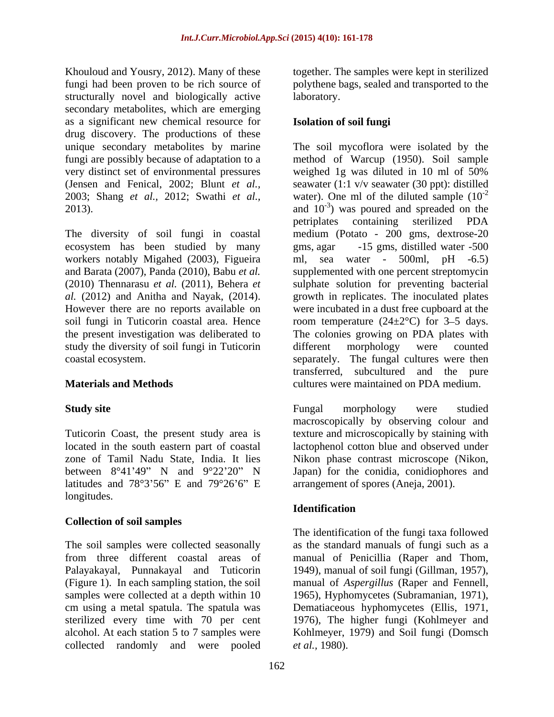Khouloud and Yousry, 2012). Many of these together. The samples were kept in sterilized fungi had been proven to be rich source of polythene bags, sealed and transported to the structurally novel and biologically active laboratory. secondary metabolites, which are emerging as a significant new chemical resource for drug discovery. The productions of these very distinct set of environmental pressures weighed 1g was diluted in 10 ml of 50%

The diversity of soil fungi in coastal medium (Potato - 200 gms, dextrose-20 ecosystem has been studied by many workers notably Migahed (2003), Figueira ml, sea water - 500ml, pH -6.5) and Barata (2007), Panda (2010), Babu *et al.*  supplemented with one percent streptomycin (2010) Thennarasu *et al.* (2011), Behera *et*  sulphate solution for preventing bacterial *al.* (2012) and Anitha and Nayak, (2014). growth in replicates. The inoculated plates However there are no reports available on were incubated in a dust free cupboard at the soil fungi in Tuticorin coastal area. Hence  $\qquad$  room temperature (24 $\pm$ 2°C) for 3–5 days. the present investigation was deliberated to The colonies growing on PDA plates with study the diversity of soil fungi in Tuticorin different morphology were counted

latitudes and  $78^{\circ}3'56''$  E and  $79^{\circ}26'6''$  E longitudes.

## **Collection of soil samples**

The soil samples were collected seasonally as the standard manuals of fungi such as a from three different coastal areas of manual of Penicillia (Raper and Thom, Palayakayal, Punnakayal and Tuticorin 1949), manual of soil fungi (Gillman, 1957), (Figure 1). In each sampling station, the soil manual of *Aspergillus* (Raper and Fennell, samples were collected at a depth within 10 1965), Hyphomycetes (Subramanian, 1971), cm using a metal spatula. The spatula was sterilized every time with 70 per cent 1976), The higher fungi (Kohlmeyer and alcohol. At each station 5 to 7 samples were Kohlmeyer, 1979) and Soil fungi (Domsch collected randomly and were pooled

laboratory.

## **Isolation of soil fungi**

unique secondary metabolites by marine The soil mycoflora were isolated by the fungi are possibly because of adaptation to a method of Warcup (1950). Soil sample (Jensen and Fenical, 2002; Blunt *et al.,* seawater (1:1 v/v seawater (30 ppt): distilled 2003; Shang *et al.,* 2012; Swathi *et al.,* water). One ml of the diluted sample (10 2013).  $\qquad \qquad \text{and} \quad 10^{-3}$  was poured and spreaded on the coastal ecosystem. separately. The fungal cultures were then **Materials and Methods** cultures were maintained on PDA medium. weighed 1g was diluted in 10 ml of 50% -2 petriplates containing sterilized PDA -15 gms, distilled water -500 different morphology were counted transferred, subcultured and the pure

Study site **Study site Study site Studied Studied Studied Studied Studied Studied Studied Studied Studied Studied Studied Studied Studied Studied Studied Studied Studied Studied Stud** Tuticorin Coast, the present study area is texture and microscopically by staining with located in the south eastern part of coastal lactophenol cotton blue and observed under zone of Tamil Nadu State, India. It lies Nikon phase contrast microscope (Nikon, between  $8^{\circ}41'49''$  N and  $9^{\circ}22'20''$  N Japan) for the conidia, conidiophores and Fungal morphology were studied macroscopically by observing colour and arrangement of spores (Aneja, 2001).

# **Identification**

The identification of the fungi taxa followed Dematiaceous hyphomycetes (Ellis, 1971, *et al.,* 1980).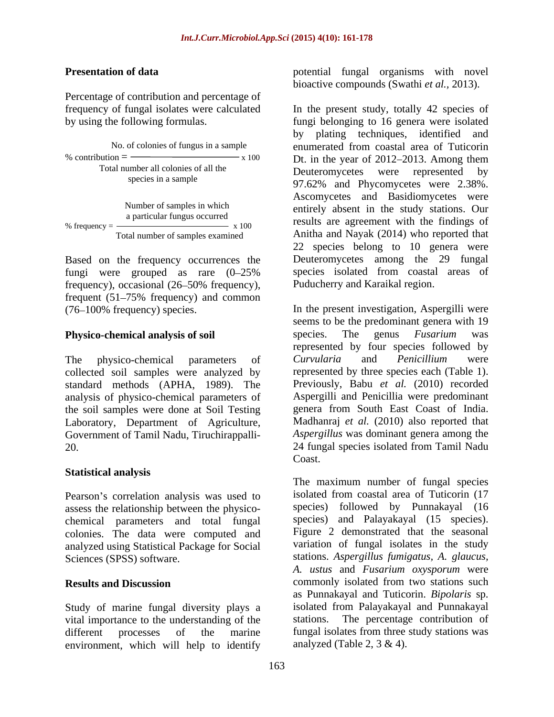Percentage of contribution and percentage of

| No. of colonies of fungus in a sample                       |       |
|-------------------------------------------------------------|-------|
| $%$ contribution $=$                                        | x 100 |
| Total number all colonies of all the<br>species in a sample |       |
| Number of samples in which<br>a particular fungus occurred  |       |

Based on the frequency occurrences the fungi were grouped as rare  $(0-25\%$ <br>frequency), occasional  $(26-50\%$  frequency), frequency), occasional (26–50% frequency), Puducherry and Karaikal region. frequent  $(51-75\%$  frequency) and common

collected soil samples were analyzed by standard methods (APHA, 1989). The analysis of physico-chemical parameters of the soil samples were done at Soil Testing Government of Tamil Nadu, Tiruchirappalli-

# **Statistical analysis**

Pearson's correlation analysis was used to assess the relationship between the physico chemical parameters and total fungal colonies. The data were computed and analyzed using Statistical Package for Social

Study of marine fungal diversity plays a vital importance to the understanding of the environment, which will help to identify

**Presentation of data potential** fungal organisms with novel bioactive compounds (Swathi *et al.,* 2013).

frequency of fungal isolates were calculated In the present study, totally 42 species of by using the following formulas. fungi belonging to 16 genera were isolated No. of colonies of fungus in a sample enumerated from coastal area of Tuticorin % contribution  $=$   $\frac{100}{x}$  x 100 Dt. in the year of 2012–2013. Among them Deuteromycetes were represented by species in a sample  $97.62\%$  and Phycomycetes were 2.38%. Number of samples in which entirely absent in the study stations. Our a particular fungus occurred<br>
results are agreement with the findings of % frequency =  $\frac{1}{x}$   $\frac{1}{x}$   $\frac{100}{x}$   $\frac{100}{x}$  results are agreement with the findings of Total number of samples examined Anitha and Nayak (2014) who reported that by plating techniques, identified and Deuteromycetes were represented by Ascomycetes and Basidiomycetes were 22 species belong to 10 genera were Deuteromycetes among the 29 fungal species isolated from coastal areas of Puducherry and Karaikal region.

(76 100% frequency) species. In the present investigation, Aspergilli were **Physico-chemical analysis of soil** species. The genus Fusarium was The physico-chemical parameters of *Curvularia* and *Penicillium* were standard methods (APHA, 1989). The Previously, Babu *et al.* (2010) recorded Laboratory, Department of Agriculture, Madhanraj *et al.* (2010) also reported that 20. 24 fungal species isolated from Tamil Nadu seems to be the predominant genera with 19 species. The genus *Fusarium* was represented by four species followed by *Curvularia* and *Penicillium* were represented by three species each (Table 1). Aspergilli and Penicillia were predominant genera from South East Coast of India. *Aspergillus* was dominant genera among the Coast.

Sciences (SPSS) software. stations. *Aspergillus fumigatus, A. glaucus,* **Results and Discussion** commonly isolated from two stations such different processes of the marine fungal isolates from three study stations was The maximum number of fungal species isolated from coastal area of Tuticorin (17 species) followed by Punnakayal (16 species) and Palayakayal (15 species). Figure 2 demonstrated that the seasonal variation of fungal isolates in the study *A. ustus* and *Fusarium oxysporum* were as Punnakayal and Tuticorin. *Bipolaris* sp. isolated from Palayakayal and Punnakayal The percentage contribution of analyzed (Table 2,  $3 \& 4$ ).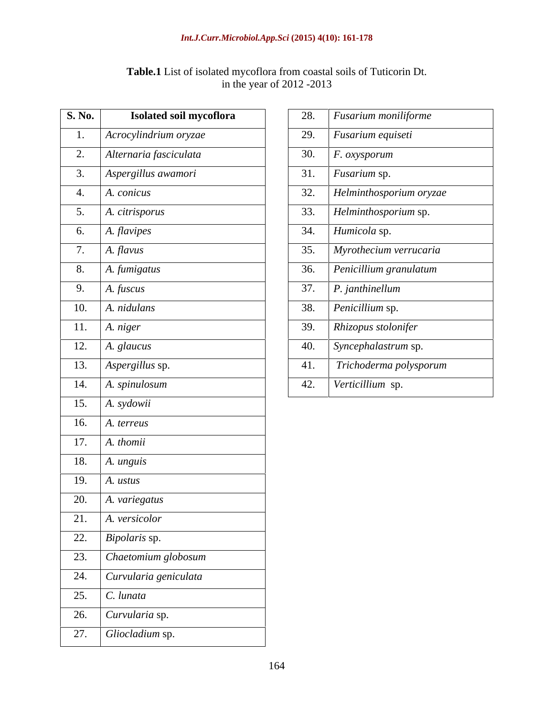| <b>CONTRACTOR</b><br>isolated mycoflora from coastal soils of Tuticorin Dt.<br><b>Table.I</b> List of |  |
|-------------------------------------------------------------------------------------------------------|--|
| $-2013$<br>1 the year of 2012                                                                         |  |

| <b>S. No.</b><br>Isolated soil mycoflora                        | 28. | Fusarium moniliforme    |
|-----------------------------------------------------------------|-----|-------------------------|
| Acrocylindrium oryzae                                           | 29. | Fusarium equiseti       |
| 2. Alternaria fasciculata                                       | 30. | $F.$ oxysporum          |
| Aspergillus awamori<br>3.                                       | 31. | Fusarium sp.            |
| 4. $A. conicus$                                                 | 32. | Helminthosporium oryzae |
| A. citrisporus<br>5.                                            | 33. | Helminthosporium sp.    |
| 6. $A$ <i>. flavipes</i>                                        | 34. | Humicola sp.            |
| 7.<br>A. flavus                                                 | 35. | Myrothecium verrucaria  |
| 8. $A. f$ <i>umigatus</i>                                       | 36. | Penicillium granulatum  |
| 9. $A. fuscus$                                                  | 37. | P. janthinellum         |
| 10. $\big  A. \text{ } n \big  d \big $                         | 38. | Penicillium sp.         |
| 11. $A. niger$                                                  | 39. | Rhizopus stolonifer     |
| $\overline{12.}$   A. glaucus                                   | 40. | Syncephalastrum sp.     |
| 13. <i>Aspergillus sp.</i>                                      | 41. | Trichoderma polysporum  |
| 14. $A. spinulosum$                                             | 42. | Verticillium sp.        |
| 15. $A. sydowii$                                                |     |                         |
| 16. $A.$ <i>A. terreus</i>                                      |     |                         |
| 17. $A. thomi$                                                  |     |                         |
| 18. $A. unguis$                                                 |     |                         |
| $\overline{19.}$ A. ustus                                       |     |                         |
| 20.<br>A. variegatus                                            |     |                         |
| 21.<br>A. versicolor                                            |     |                         |
| 22.<br><i>Bipolaris</i> sp.                                     |     |                         |
| Chaetomium globosum<br>23.                                      |     |                         |
| $\sqrt{\frac{1}{2}}$ Curvularia geniculata<br>$2\overline{4}$ . |     |                         |
| 25.<br>C. lunata                                                |     |                         |
| 26.<br>Curvularia sp.                                           |     |                         |
| $\overline{27}$ .<br>Gliocladium sp.                            |     |                         |

| S. No.<br>Isolated soil mycoflora      | 28. | $F$ usarium moniliforme        |
|----------------------------------------|-----|--------------------------------|
| Acrocylindrium oryzae                  | 29. | $\vert$ Fusarium equiseti      |
| Alternaria fasciculata<br>2.           | 30. | $F.$ oxysporum                 |
| Aspergillus awamori<br>3.              | 31. | <i>Fusarium</i> sp.            |
| 4.<br>A. conicus                       | 32. | Helminthosporium oryzae        |
| A. citrisporus<br>5.                   | 33. | Helminthosporium sp.           |
| $6.$ A. flavipes                       | 34. | Humicola sp.                   |
| A. flavus<br>$\overline{ }$<br>$\cdot$ | 35. | Myrothecium verrucaria         |
| 8.<br>A. fumigatus                     | 36. | $\vert$ Penicillium granulatum |
| 9.<br>A. fuscus                        | 37. | P. janthinellum                |
| 10.<br>A. nidulans                     | 38. | Penicillium sp.                |
| 11.<br>A. niger                        | 39. | Rhizopus stolonifer            |
| 12.<br>A. glaucus                      | 40. | Syncephalastrum sp.            |
| 13.<br>Aspergillus sp.                 | 41. | Trichoderma polysporum         |
| 14. A. spinulosum                      | 42. | Verticillium sp.               |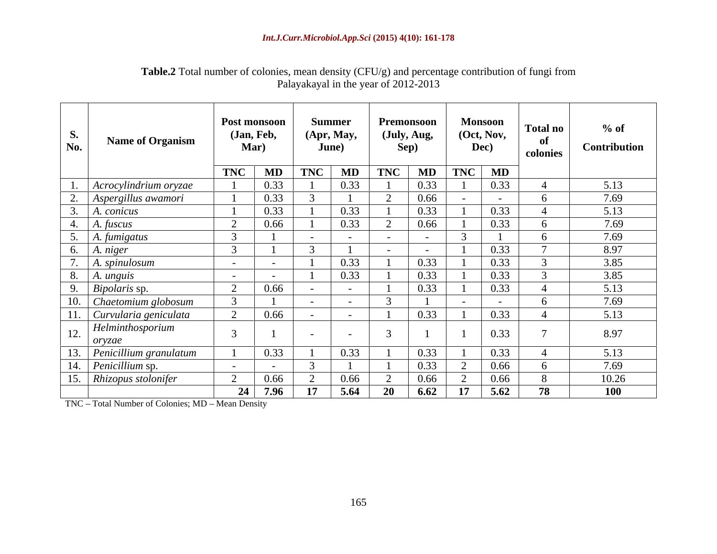| <b>S.</b><br>No. | <b>Name of Organism</b>    |                | Post monsoon<br>(Jan, Feb,<br>Mar) | June)      | <b>Summer</b><br>(Apr, May, | Sep)      | Premonsoon<br>(July, Aug,                                                       |    | <b>Monsoon</b><br>(Oct, Nov,<br>Dec) | <b>Total no</b><br>colonies | $%$ of<br>Contribution |
|------------------|----------------------------|----------------|------------------------------------|------------|-----------------------------|-----------|---------------------------------------------------------------------------------|----|--------------------------------------|-----------------------------|------------------------|
|                  |                            |                | $TNC$   $MD$                       | <b>TNC</b> | MD                          |           | $\boxed{\text{TNC}$ $\boxed{\text{MD}}$ $\boxed{\text{TNC}$ $\boxed{\text{MD}}$ |    |                                      |                             |                        |
|                  | $ $ Acrocylindrium oryzae  |                | 0.33                               |            | 0.33                        |           | 0.33                                                                            |    | 0.33                                 |                             | 5.13                   |
|                  | 2. Aspergillus awamori     |                | 0.33                               |            |                             |           | 0.66                                                                            |    |                                      |                             | 7.69                   |
|                  | A. conicus                 |                | 0.33                               |            | 0.33                        |           | 0.33                                                                            |    | 0.33                                 |                             | 5.13                   |
|                  | 4. A. fuscus               |                | 0.66                               |            | 0.33                        |           | 0.66                                                                            |    | 0.33                                 |                             | 7.69                   |
|                  | 5. A. fumigatus            |                |                                    |            |                             |           | $\sim$                                                                          |    |                                      |                             | 7.69                   |
|                  | 6. $\vert$ A. niger        |                |                                    |            |                             |           | $\sim$                                                                          |    | 0.33                                 |                             | 8.97                   |
|                  | 7. A. spinulosum           | $\sim$ $ \sim$ | $\sim$ $\sim$                      |            | 0.33                        |           | 0.33                                                                            |    | 0.33                                 |                             | 3.85                   |
|                  | $8. \mid A.$ unguis        | $\sim$ $-$     |                                    |            | 0.33                        |           | 0.33                                                                            |    | 0.33                                 |                             | 3.85                   |
|                  | 9. <i>Bipolaris</i> sp.    |                | 0.66                               |            |                             |           | 0.33                                                                            |    | 0.33                                 |                             | 5.13                   |
|                  | 10. Chaetomium globosum    |                |                                    |            |                             |           |                                                                                 |    | $\sim$                               |                             | 7.69                   |
|                  | 11. Curvularia geniculata  |                | 0.66                               | $\sim$ $-$ | $\sim$ $-$                  |           | 0.33                                                                            |    | 0.33                                 |                             | 5.13                   |
|                  | 12. Helminthosporium       |                |                                    |            |                             |           |                                                                                 |    | 0.33                                 |                             | 8.97                   |
|                  | 13. Penicillium granulatum |                | 0.33                               |            | 0.33                        |           | 0.33                                                                            |    | 0.33                                 |                             | 5.13                   |
|                  | 14. <i>Penicillium</i> sp. |                |                                    |            |                             |           | 0.33                                                                            |    | 0.66                                 |                             | 7.69                   |
|                  | 15. Rhizopus stolonifer    |                | 0.66                               |            | 0.66                        |           | 0.66                                                                            |    | 0.66                                 |                             | 10.26                  |
|                  |                            |                | 24 7.96                            | <b>17</b>  | 5.64                        | <b>20</b> | 6.62                                                                            | 17 | 5.62                                 | 78                          | 100                    |

### **Table.2** Total number of colonies, mean density (CFU/g) and percentage contribution of fungi from Palayakayal in the year of 2012-2013

TNC - Total Number of Colonies; MD - Mean Density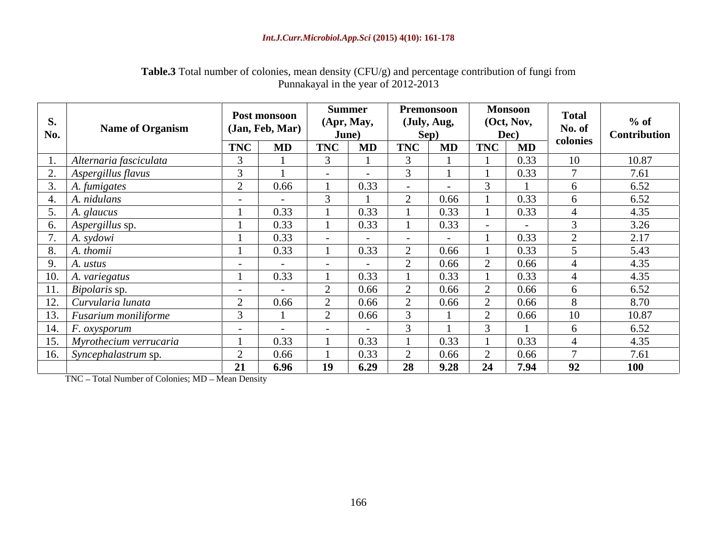| <b>Table.3</b> Total number of colonies, mean density (CFU/g) and percentage conservative | e contribution of fungi from |  |  |
|-------------------------------------------------------------------------------------------|------------------------------|--|--|
| Punnakayal                                                                                | in the year of $2012-2013$   |  |  |

| S.<br>No.               | <b>Name of Organism</b>    |                                    | Post monsoon<br>(Jan, Feb, Mar) | <b>Summer</b><br>Apr, May,<br>June) | Premonsoon<br>(July, Aug,<br>Sep) |            | <b>Monsoon</b><br>(Oct, Nov,<br>Dec) | <b>Total</b><br>No. of<br>colonies | $%$ of<br>Contribution |
|-------------------------|----------------------------|------------------------------------|---------------------------------|-------------------------------------|-----------------------------------|------------|--------------------------------------|------------------------------------|------------------------|
|                         |                            | <b>TNC</b>                         | MD                              | MD<br><b>TNC</b>                    | <b>MD</b><br><b>TNC</b>           | <b>TNC</b> | MD                                   |                                    |                        |
|                         | Alternaria fasciculata     |                                    |                                 |                                     |                                   |            | 0.33                                 | 10                                 | 10.87                  |
| $\mathcal{L}_{\bullet}$ | Aspergillus flavus         |                                    |                                 |                                     |                                   |            | 0.33                                 |                                    | 7.61                   |
| $\cup$ .                | A. fumigates               | $\sim$<br>$\overline{\phantom{0}}$ | 0.66                            | 0.33                                |                                   |            |                                      |                                    | 6.52                   |
| <sup>4.</sup>           | A. nidulans                | $\sim$                             |                                 |                                     | 0.66                              |            | 0.33                                 |                                    | 6.52                   |
|                         | 5. A. glaucus              |                                    | 0.33                            | 0.33                                | 0.33                              |            | 0.33                                 |                                    | 4.35                   |
|                         | 6. Aspergillus sp.         |                                    | 0.33                            | 0.33                                | 0.33                              |            |                                      |                                    | 3.26                   |
| $\overline{z}$          | 7.   A. sydowi             |                                    | 0.33                            | $\sim$                              | $\sim$ $\sim$                     |            | 0.33                                 |                                    | 2.17                   |
| 8.                      | A. thomii                  |                                    | 0.33                            | 0.33                                | 0.66                              |            | 0.33                                 |                                    | 5.43                   |
|                         | 9. $A. ustus$              |                                    | $\sim$                          | $\sim$ $-$                          | 0.66                              |            | 0.66                                 |                                    | 4.35                   |
|                         | 10. $A. variegatus$        |                                    | 0.33                            | 0.33                                | 0.33                              |            | 0.33                                 |                                    | 4.35                   |
|                         | 11. <i>Bipolaris</i> sp.   | $\sim$ $-$                         |                                 | 0.66                                | 0.66                              |            | 0.66                                 |                                    | 6.52                   |
| 12.                     | Curvularia lunata          |                                    | 0.66                            | 0.66                                | 0.66                              |            | 0.66                                 |                                    | 8.70                   |
|                         | 13. Fusarium moniliforme   |                                    |                                 | 0.66                                |                                   |            | 0.66                                 | 10                                 | 10.87                  |
|                         | 14. F. oxysporum           |                                    |                                 |                                     |                                   |            |                                      |                                    | 6.52                   |
|                         | 15. Myrothecium verrucaria |                                    | 0.33                            | 0.33                                | 0.33                              |            | 0.33                                 |                                    | 4.35                   |
|                         | 16. Syncephalastrum sp.    |                                    | 0.66                            | 0.33                                | 0.66                              |            | 0.66                                 |                                    | 7.61                   |
|                         |                            | 21                                 | 6.96                            | 6.29<br>19                          | 9.28<br>28                        | 24         | 7.94                                 | 92                                 | <b>100</b>             |

TNC - Total Number of Colonies; MD - Mean Density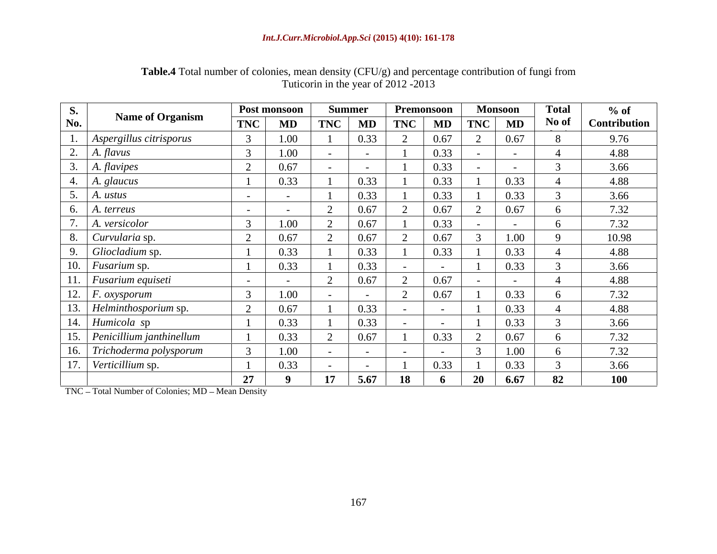| <b>Table.4 Total</b><br>$\alpha$ eti i<br>$J/g$ ) and percentage contribution of fungi from<br>I number of colonies, mean density (Cr |  |
|---------------------------------------------------------------------------------------------------------------------------------------|--|
| vear of $2012 - 2013$<br>Tuticorin in the year of                                                                                     |  |

| <b>S.</b>                  | <b>Name of Organism</b>        |                          | Post monsoon |                | Summer     |            | Premonsoon |     | <b>Monsoon</b> | <b>Total</b> | $%$ of              |
|----------------------------|--------------------------------|--------------------------|--------------|----------------|------------|------------|------------|-----|----------------|--------------|---------------------|
| No.                        |                                | <b>TNC</b>               | MD           | <b>TNC</b>     | MD         | <b>TNC</b> | MD         | TNC | MD             | No of        | <b>Contribution</b> |
|                            | Aspergillus citrisporus        |                          | 1.00         |                | 0.33       |            | 0.67       |     | 0.67           |              | 9.76                |
| $\overline{\phantom{a}}$ . | A. flavus                      |                          | 1.00         |                | $\sim$ $-$ |            | 0.33       |     |                |              | 4.88                |
|                            | A. flavipes                    |                          | 0.67         |                |            |            | 0.33       |     |                |              | 3.66                |
|                            | A. glaucus                     |                          | 0.33         |                | 0.33       |            | 0.33       |     | 0.33           |              | 4.88                |
|                            | A. ustus                       |                          |              |                | 0.33       |            | 0.33       |     | 0.32           |              | 3.66                |
|                            | A. terreus                     |                          |              |                | 0.67       |            | 0.67       |     | 0.67           |              | 7.32                |
|                            | A. versicolor                  |                          | 1.00         |                | 0.67       |            | 0.33       |     |                | h            | 7.32                |
|                            | Curvularia sp.                 | $\overline{\phantom{0}}$ | 0.67         |                | 0.67       |            | 0.67       |     | 1.00           |              | 10.98               |
|                            | Gliocladium sp.                |                          | 0.33         |                | 0.33       |            | 0.33       |     | 0.33           |              | 4.88                |
|                            | 10. <i>Fusarium</i> sp.        |                          | 0.33         |                | 0.33       |            |            |     | 0.33           |              | 3.66                |
|                            | 11. Fusarium equiseti          |                          |              |                | 0.67       |            | 0.67       |     |                |              | 4.88                |
|                            | $\overline{12.  F.$ oxysporum  |                          | 1.00         |                | $\sim$     |            | 0.67       |     | 0.33           |              | 7.32                |
|                            | 13. Helminthosporium sp.       |                          | 0.67         |                | 0.33       |            | $\sim$ $-$ |     | 0.33           |              | 4.88                |
|                            | 14. Humicola sp                |                          | 0.33         |                | 0.33       |            |            |     | 0.33           |              | 3.66                |
|                            | 15. Penicillium janthinellum   |                          |              |                | 0.67       |            | 0.33       |     | 0.67           |              | 7.32                |
|                            |                                |                          | 0.33         |                |            |            |            |     |                |              |                     |
| 17                         | 16. Trichoderma polysporum     |                          | 1.00         |                | $\sim$ $-$ | $\sim$ $-$ |            |     | 1.00           |              | 7.32                |
|                            | $\mathcal{L}$ Verticillium sp. |                          | 0.33         | 1 <sub>H</sub> | $\sim$     |            | 0.33       |     | 0.33           |              | 3.66                |
|                            |                                | 27                       |              |                | 5.67       |            |            | 20  | 6.67           | 82           | <b>100</b>          |

TNC - Total Number of Colonies; MD - Mean Density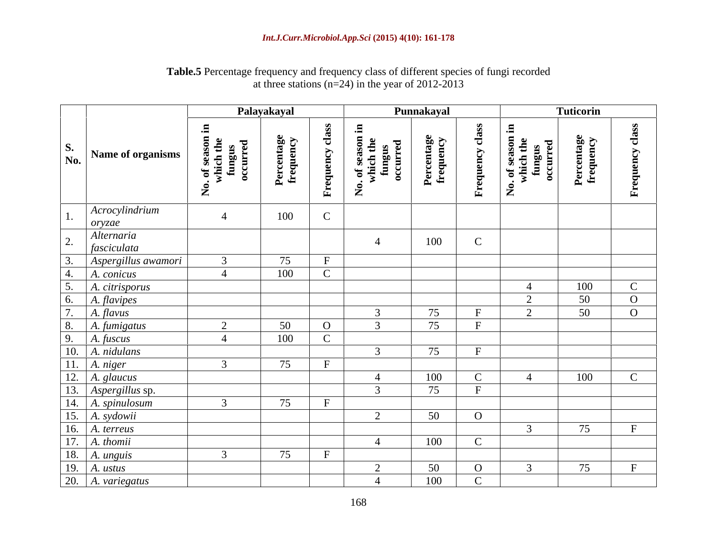### **Table.5** Percentage frequency and frequency class of different species of fungi recorded at three stations (n=24) in the year of 2012-2013

|                                                              |                               | Palayakayal |                              |                | Punnakayal    |                               |                     | Tuticorin |                |
|--------------------------------------------------------------|-------------------------------|-------------|------------------------------|----------------|---------------|-------------------------------|---------------------|-----------|----------------|
| $\sum_{\mathbf{N}\mathbf{0}}^{\mathbf{N}}$ Name of organisms | . of sea<br>which<br>function | Per<br>fre  | $\mathbf{g}$<br>$\mathbf{r}$ | Z              | $E_{\rm eff}$ | $\mathbf{r}$                  | $\sum$              |           | <b>EX</b>      |
| Acrocylindrium<br>oryzae                                     | $\overline{4}$                | 100         | $\sim$                       |                |               |                               |                     |           |                |
| Alternaria<br>fasciculata                                    |                               |             |                              |                | 100           | $\mathbf C$                   |                     |           |                |
| Aspergillus awamori                                          | $\sqrt{ }$                    | 75          | $\mathbf{F}$                 |                |               |                               |                     |           |                |
| A. conicus                                                   | $\overline{4}$                | 100         |                              |                |               |                               |                     |           |                |
| A. citrisporus                                               |                               |             |                              |                |               |                               | $\overline{4}$      | 100       | $\mathbf C$    |
| A. flavipes                                                  |                               |             |                              |                |               |                               | 2                   | 50        | $\overline{O}$ |
| A. flavus                                                    |                               |             |                              |                | 75            | $\mathbf{F}$                  | $\bigcap$<br>$\sim$ | 50        | $\overline{O}$ |
| A. fumigatus                                                 | $\bigcap$                     | 50          | $\overline{O}$               |                | 75            | $\mathbf{F}$                  |                     |           |                |
| A. fuscus                                                    | $\overline{4}$                | 100         | $\mathcal{C}$                |                |               |                               |                     |           |                |
| A. nidulans                                                  |                               |             |                              | $\mathcal{R}$  | 75            | F                             |                     |           |                |
| 11. $A. niger$                                               | $\overline{2}$                | 75          | $\mathbf{F}$                 |                |               |                               |                     |           |                |
| 12. $A. glaucus$                                             |                               |             |                              | $\overline{A}$ | 100           | $\mathbf C$                   | $\overline{4}$      | 100       | $\mathbf C$    |
| 13. Aspergillus sp.                                          |                               |             |                              |                | 75            | F                             |                     |           |                |
| 14. A. spinulosum                                            |                               | 75          |                              | $\bigcap$      |               |                               |                     |           |                |
| . A. sydowii                                                 |                               |             |                              |                | 50            | $\overline{O}$                |                     |           | $\mathbf{F}$   |
| 6. $A.$ terreus                                              |                               |             |                              |                |               | $\mathbf C$                   |                     | 75        |                |
| 17. $A. thomi$                                               | $\bigcap$                     | 75          | F                            | $\overline{4}$ | 100           |                               |                     |           |                |
| 18. $\vert$ A. unguis                                        |                               |             |                              | $\bigcap$      |               |                               |                     | 75        | $\mathbf{F}$   |
| 19. $A. ustus$<br>20. $\vert$ A. variegatus                  |                               |             |                              | $\overline{z}$ | 50<br>100     | $\overline{O}$<br>$\mathbf C$ |                     |           |                |
|                                                              |                               |             |                              |                |               |                               |                     |           |                |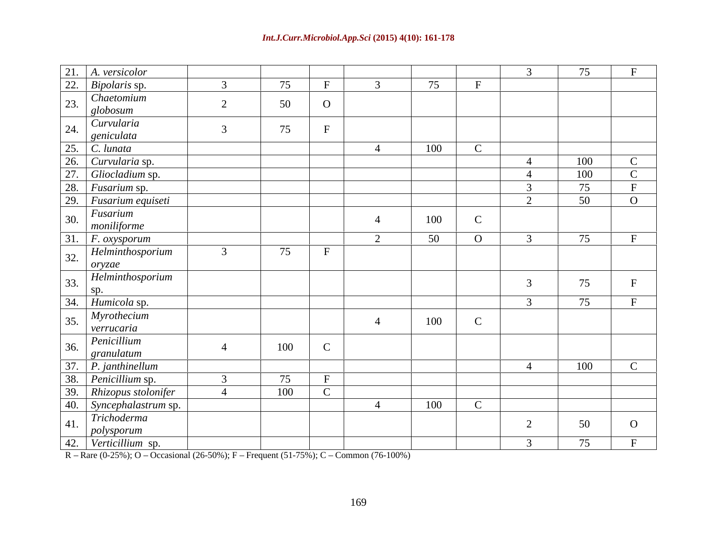| 75<br>75<br>$\mathbf{E}$<br>$\mathbf{\Gamma}$<br>Chaetomium<br>50<br>globosum<br>Curvularia<br>75<br>$\mathbf{E}$<br>geniculata<br>100<br>$\mathcal{C}$<br>$\mathbf C$<br>100<br>$\overline{4}$<br>100<br>$\mathbf C$<br>$\overline{4}$<br>75<br>50<br>$\overline{O}$<br>$\bigcap$<br>Fusarium<br>100<br>$\Omega$<br>$\mathbf C$<br>mouiliforme<br>75<br>$\overline{F}$ . $\overline{F}$ . $\overline{O}$ $\overline{O}$ $\overline{O}$ $\overline{F}$<br>50<br>$\overline{O}$<br>Helminthosporium<br>75<br>oryzae<br>Helminthosporium<br>75<br>$\mathbf{c}$<br>34. Humicola sp.<br>75<br>Myrothecium<br>100<br>$\mathbf C$<br>verrucaria<br>100<br>$\sim$<br>$\sqrt{\frac{1}{2}$ granulatum<br>$\mathbf C$<br>100<br>$\overline{4}$<br>75<br>$\mathbf{F}$<br>100<br>$\mathbf C$<br>100<br>$\Gamma$<br>- 4<br>Trichoderma<br>50<br>$\mathbf{O}$ | 21. A. versicolor |  |  |  | 75 | $\mathbf{r}$ |
|-------------------------------------------------------------------------------------------------------------------------------------------------------------------------------------------------------------------------------------------------------------------------------------------------------------------------------------------------------------------------------------------------------------------------------------------------------------------------------------------------------------------------------------------------------------------------------------------------------------------------------------------------------------------------------------------------------------------------------------------------------------------------------------------------------------------------------------------------|-------------------|--|--|--|----|--------------|
| 38. Penicillium sp.                                                                                                                                                                                                                                                                                                                                                                                                                                                                                                                                                                                                                                                                                                                                                                                                                             | 22. Bipolaris sp. |  |  |  |    |              |
| 25. C. lunata<br>26. Curvularia sp.<br>27. Gliocladium sp.<br>$\sqrt{\frac{28.}{28.}}$ Fusarium sp.<br>29. Fusarium equiseti<br>$\left  \begin{array}{c} \text{26} \\ \text{36} \end{array} \right $ Penicillium<br>$\mid$ 37. $\mid$ <i>P. janthinellum</i><br>39. Rhizopus stolonifer<br>40. Syncephalastrum sp.<br><sup>41.</sup> <i>polysporum</i><br>42. <i>Verticillium</i> sp.                                                                                                                                                                                                                                                                                                                                                                                                                                                           |                   |  |  |  |    |              |
|                                                                                                                                                                                                                                                                                                                                                                                                                                                                                                                                                                                                                                                                                                                                                                                                                                                 |                   |  |  |  |    |              |
|                                                                                                                                                                                                                                                                                                                                                                                                                                                                                                                                                                                                                                                                                                                                                                                                                                                 |                   |  |  |  |    |              |
|                                                                                                                                                                                                                                                                                                                                                                                                                                                                                                                                                                                                                                                                                                                                                                                                                                                 |                   |  |  |  |    |              |
|                                                                                                                                                                                                                                                                                                                                                                                                                                                                                                                                                                                                                                                                                                                                                                                                                                                 |                   |  |  |  |    |              |
|                                                                                                                                                                                                                                                                                                                                                                                                                                                                                                                                                                                                                                                                                                                                                                                                                                                 |                   |  |  |  |    |              |
|                                                                                                                                                                                                                                                                                                                                                                                                                                                                                                                                                                                                                                                                                                                                                                                                                                                 |                   |  |  |  |    |              |
|                                                                                                                                                                                                                                                                                                                                                                                                                                                                                                                                                                                                                                                                                                                                                                                                                                                 |                   |  |  |  |    |              |
|                                                                                                                                                                                                                                                                                                                                                                                                                                                                                                                                                                                                                                                                                                                                                                                                                                                 |                   |  |  |  |    |              |
|                                                                                                                                                                                                                                                                                                                                                                                                                                                                                                                                                                                                                                                                                                                                                                                                                                                 |                   |  |  |  |    |              |
|                                                                                                                                                                                                                                                                                                                                                                                                                                                                                                                                                                                                                                                                                                                                                                                                                                                 |                   |  |  |  |    |              |
|                                                                                                                                                                                                                                                                                                                                                                                                                                                                                                                                                                                                                                                                                                                                                                                                                                                 |                   |  |  |  |    |              |
|                                                                                                                                                                                                                                                                                                                                                                                                                                                                                                                                                                                                                                                                                                                                                                                                                                                 |                   |  |  |  |    |              |
|                                                                                                                                                                                                                                                                                                                                                                                                                                                                                                                                                                                                                                                                                                                                                                                                                                                 |                   |  |  |  |    |              |
|                                                                                                                                                                                                                                                                                                                                                                                                                                                                                                                                                                                                                                                                                                                                                                                                                                                 |                   |  |  |  |    |              |
|                                                                                                                                                                                                                                                                                                                                                                                                                                                                                                                                                                                                                                                                                                                                                                                                                                                 |                   |  |  |  |    |              |
|                                                                                                                                                                                                                                                                                                                                                                                                                                                                                                                                                                                                                                                                                                                                                                                                                                                 |                   |  |  |  |    |              |
|                                                                                                                                                                                                                                                                                                                                                                                                                                                                                                                                                                                                                                                                                                                                                                                                                                                 |                   |  |  |  |    |              |
|                                                                                                                                                                                                                                                                                                                                                                                                                                                                                                                                                                                                                                                                                                                                                                                                                                                 |                   |  |  |  |    |              |
|                                                                                                                                                                                                                                                                                                                                                                                                                                                                                                                                                                                                                                                                                                                                                                                                                                                 |                   |  |  |  | 75 |              |

 $R - \text{Rare } (0.25\%)$ ; O – Occasional (26-50%); F – Frequent (51-75%); C – Common (76-100%)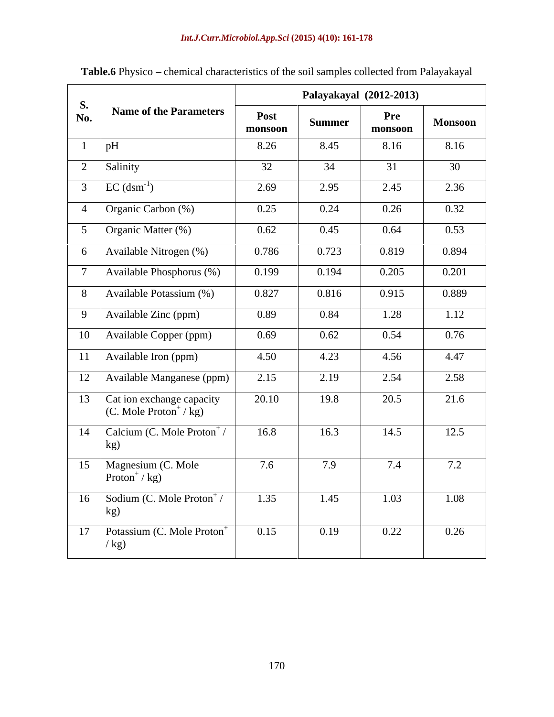|                  |                                                                                   |                 |               | Palayakayal (2012-2013) |                |
|------------------|-----------------------------------------------------------------------------------|-----------------|---------------|-------------------------|----------------|
| <b>S.</b><br>No. | <b>Name of the Parameters</b>                                                     | Post<br>monsoon | <b>Summer</b> | Pre<br>monsoon          | <b>Monsoon</b> |
|                  | pH                                                                                | 8.26            | 8.45          | 8.16                    | 8.16           |
| 2                | Salinity                                                                          | 32              | 34            | 31                      | 30             |
| $\overline{3}$   | $EC$ (dsm <sup>-1</sup> )                                                         | 2.69            | 2.95          | 2.45                    | 2.36           |
| $\Delta$         | Organic Carbon (%)                                                                | 0.25            | 0.24          | 0.26                    | 0.32           |
| $5\overline{)}$  | Organic Matter $\sqrt{(%)}$                                                       | 0.62            | 0.45          | 0.64                    | 0.53           |
| 6                | Available Nitrogen (%)                                                            | 0.786           | 0.723         | 0.819                   | 0.894          |
| $\overline{7}$   | Available Phosphorus (%)                                                          | 0.199           | 0.194         | 0.205                   | 0.201          |
| 8                | Available Potassium (%)                                                           | 0.827           | 0.816         | 0.915                   | 0.889          |
| 9                | Available Zinc (ppm)                                                              | 0.89            | 0.84          | 1.28                    | 1.12           |
| 10               | Available Copper (ppm)                                                            | 0.69            | 0.62          | 0.54                    | 0.76           |
| 11               | Available Iron (ppm)                                                              | 4.50            | 4.23          | 4.56                    | 4.47           |
| 12               | Available Manganese (ppm)                                                         | 2.15            | 2.19          | 2.54                    | 2.58           |
| 13               | $\sqrt{\text{Cat}}$ ion exchange capacity<br>$(C.$ Mole Proton <sup>+</sup> / kg) | 20.10           | 19.8          | 20.5                    | 21.6           |
| 14               | Calcium (C. Mole Proton <sup>+</sup> /<br>kg)                                     | 16.8            | 16.3          | 14.5                    | 12.5           |
| 15               | Magnesium (C. Mole<br>Proton <sup>+</sup> / $kg$ )                                | 7.6             | 7.9           | 7.4                     | 7.2            |
| 16               | Sodium (C. Mole Proton <sup>+</sup> /<br>kg)                                      | 1.35            | 1.45          | 1.03                    | 1.08           |
| 17               | Potassium (C. Mole Proton <sup>+</sup><br>$\frac{1}{2}$                           | 0.15            | 0.19          | 0.22                    | 0.26           |

Table.6 Physico - chemical characteristics of the soil samples collected from Palayakayal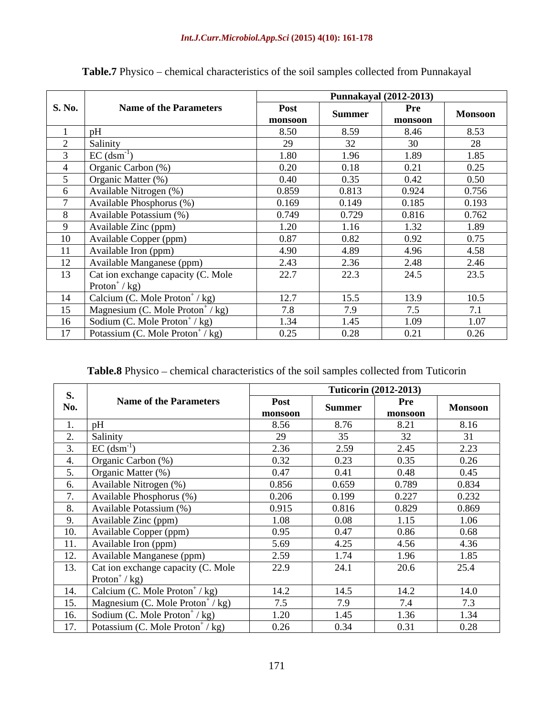|               |                                                   |                 | <b>Punnakayal (2012-2013)</b> |                |                |
|---------------|---------------------------------------------------|-----------------|-------------------------------|----------------|----------------|
| <b>S. No.</b> | <b>Name of the Parameters</b>                     | Post<br>monsoon | Summer                        | Pre<br>monsoon | <b>Monsoon</b> |
|               |                                                   | 8.50            | 8.59                          | 8.46           | 8.53           |
|               | Salinity                                          | 29              | 32                            | 30             | 28             |
|               | $EC$ (dsm <sup>-</sup>                            | 1.80            | 1.96                          | 1.89           | 1.85           |
|               | Organic Carbon (%)                                | 0.20            | 0.18                          | 0.21           | 0.25           |
|               | Organic Matter (%)                                | 0.40            | 0.35                          | 0.42           | 0.50           |
|               | Available Nitrogen (%)                            | 0.859           | 0.813                         | 0.924          | 0.756          |
|               | Available Phosphorus (%)                          | 0.169           | 0.149                         | 0.185          | 0.193          |
|               | Available Potassium (%)                           | 0.749           | 0.729                         | 0.816          | 0.762          |
|               | Available Zinc (ppm)                              | 1.20            | 1.16                          | 1.32           | 1.89           |
|               | Available Copper (ppm)                            | 0.87            | 0.82                          | 0.92           | 0.75           |
|               | Available Iron (ppm)                              | 4.90            | 4.89                          | 4.96           | 4.58           |
|               | Available Manganese (ppm)                         | 2.43            | 2.36                          | 2.48           | 2.46           |
|               | Cat ion exchange capacity (C. Mole                | 22.7            | 22.3                          | 24.5           | 23.5           |
|               | Proton <sup>+</sup> /kg)                          |                 |                               |                |                |
|               | Calcium (C. Mole Proton <sup>+</sup> / kg)        | 12.7            | 15.5                          | 13.9           | 10.5           |
|               | Magnesium (C. Mole Proton <sup>+</sup> / kg)      | 7.8             | 7.9                           | 7.5            | 7.1            |
|               | 16   Sodium (C. Mole Proton <sup>+</sup> / kg)    | 1.34            | 1.45                          | 1.09           | 1.07           |
|               | 17   Potassium (C. Mole Proton <sup>+</sup> / kg) | 0.25            | 0.28                          | 0.21           | 0.26           |

Table.7 Physico – chemical characteristics of the soil samples collected from Punnakayal

Table.8 Physico – chemical characteristics of the soil samples collected from Tuticorin

| <b>S.</b> |                                                 |                        |        | <b>Tuticorin (2012-2013)</b> |                |
|-----------|-------------------------------------------------|------------------------|--------|------------------------------|----------------|
| No.       | <b>Name of the Parameters</b>                   | <b>Post</b><br>monsoon | Summer | Pre<br>monsoon               | <b>Monsoon</b> |
|           | pH                                              | 8.56                   | 8.76   | 8.21                         | 8.16           |
|           | Salinity                                        | 29                     | 35     | 32                           | 31             |
|           | $EC$ (dsm <sup>-1</sup> )                       | 2.36                   | 2.59   | 2.45                         | 2.23           |
|           | Organic Carbon (%)                              | 0.32                   | 0.23   | 0.35                         | 0.26           |
|           | Organic Matter $(\%)$                           | 0.47                   | 0.41   | 0.48                         | 0.45           |
|           | Available Nitrogen (%)                          | 0.856                  | 0.659  | 0.789                        | 0.834          |
|           | Available Phosphorus (%)                        | 0.206                  | 0.199  | 0.227                        | 0.232          |
|           | Available Potassium (%)                         | 0.915                  | 0.816  | 0.829                        | 0.869          |
|           | Available Zinc (ppm)                            | 1.08                   | 0.08   | 1.15                         | 1.06           |
| 10.       | Available Copper (ppm)                          | 0.95                   | 0.47   | 0.86                         | 0.68           |
| 11.       | Available Iron (ppm)                            | 5.69                   | 4.25   | 4.56                         | 4.36           |
| 12.       | Available Manganese (ppm)                       | 2.59                   | 1.74   | 1.96                         | 1.85           |
|           | 13. Cat ion exchange capacity (C. Mole          | 22.9                   | 24.1   | 20.6                         | 25.4           |
|           | Proton <sup>+</sup> /kg)                        |                        |        |                              |                |
|           | 14. Calcium (C. Mole Proton <sup>+</sup> /kg)   | 14.2                   | 14.5   | 14.2                         | 14.0           |
| 15.       | Magnesium (C. Mole Proton <sup>+</sup> /kg)     | 7.5                    | 7.9    | 7.4                          | 7.3            |
| 16.       | Sodium (C. Mole Proton <sup>+</sup> / kg)       | 1.20                   | 1.45   | 1.36                         | 1.34           |
|           | 17. Potassium (C. Mole Proton <sup>+</sup> /kg) | 0.26                   | 0.34   | 0.31                         | 0.28           |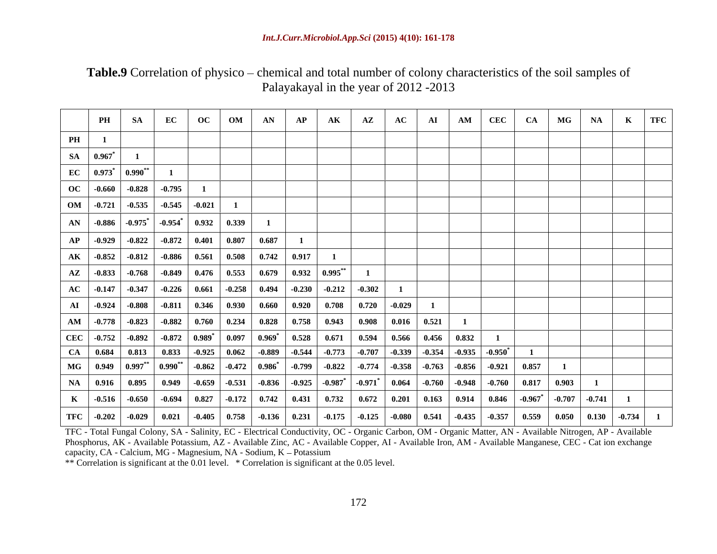**Table.9** Correlation of physico – chemical and total number of colony characteristics of the soil samples of Palayakayal in the year of 2012 -2013

|                                                                                                                                                                                                                                        | PH SA | $EC$ OC OM AN AP AK AZ |  |  | AC |  |  |  | $\mathbf{A}\mathbf{I}$   $\mathbf{A}\mathbf{M}$   $\mathbf{C}\mathbf{E}\mathbf{C}$   $\mathbf{C}\mathbf{A}$   $\mathbf{M}\mathbf{G}$   $\mathbf{N}\mathbf{A}$   $\mathbf{K}$   $\mathbf{T}\mathbf{F}\mathbf{C}$ |  |
|----------------------------------------------------------------------------------------------------------------------------------------------------------------------------------------------------------------------------------------|-------|------------------------|--|--|----|--|--|--|-----------------------------------------------------------------------------------------------------------------------------------------------------------------------------------------------------------------|--|
| PH                                                                                                                                                                                                                                     |       |                        |  |  |    |  |  |  |                                                                                                                                                                                                                 |  |
| $SA$ 0.967 $*$                                                                                                                                                                                                                         |       |                        |  |  |    |  |  |  |                                                                                                                                                                                                                 |  |
| EC $\begin{array}{ c c c c c } \hline 0.973^{*} & 0.990^{**} \hline \end{array}$                                                                                                                                                       |       |                        |  |  |    |  |  |  |                                                                                                                                                                                                                 |  |
| $\overline{OC}$ -0.660 -0.828 -0.795                                                                                                                                                                                                   |       |                        |  |  |    |  |  |  |                                                                                                                                                                                                                 |  |
| $\begin{array}{ c c c c c c c c c } \hline \text{OM} & -0.721 & -0.535 & -0.545 & -0.021 \hline \end{array}$                                                                                                                           |       |                        |  |  |    |  |  |  |                                                                                                                                                                                                                 |  |
| $\mathbf{AN}$ -0.886 -0.975* -0.954* 0.932 0.339                                                                                                                                                                                       |       |                        |  |  |    |  |  |  |                                                                                                                                                                                                                 |  |
| AP   -0.929   -0.822   -0.872   0.401   0.807   0.687                                                                                                                                                                                  |       |                        |  |  |    |  |  |  |                                                                                                                                                                                                                 |  |
| AK   -0.852   -0.812   -0.886   0.561   0.508   0.742   0.917                                                                                                                                                                          |       |                        |  |  |    |  |  |  |                                                                                                                                                                                                                 |  |
| $\mid$ $\mid$ AZ $\mid$ -0.833 $\mid$ -0.768 $\mid$ -0.849 $\mid$ 0.476 $\mid$ 0.553 $\mid$ 0.679 $\mid$ 0.932 $\mid$ 0.995** $\mid$                                                                                                   |       |                        |  |  |    |  |  |  |                                                                                                                                                                                                                 |  |
|                                                                                                                                                                                                                                        |       |                        |  |  |    |  |  |  |                                                                                                                                                                                                                 |  |
| AI   -0.924   -0.808   -0.811   0.346   0.930   0.660   0.920   0.708   0.720   -0.029                                                                                                                                                 |       |                        |  |  |    |  |  |  |                                                                                                                                                                                                                 |  |
| AM   -0.778   -0.823   -0.882   0.760   0.234   0.828   0.758   0.943   0.908   0.016   0.521                                                                                                                                          |       |                        |  |  |    |  |  |  |                                                                                                                                                                                                                 |  |
| $\mid$ CEC $\mid$ -0.752 $\mid$ -0.892 $\mid$ -0.872 $\mid$ 0.989* $\mid$ 0.097 $\mid$ 0.969* $\mid$ 0.528 $\mid$ 0.671 $\mid$ 0.594 $\mid$ 0.566 $\mid$ 0.456 $\mid$ 0.832 $\mid$                                                     |       |                        |  |  |    |  |  |  |                                                                                                                                                                                                                 |  |
|                                                                                                                                                                                                                                        |       |                        |  |  |    |  |  |  |                                                                                                                                                                                                                 |  |
| $\mid$ MG $\mid$ 0.949 $\mid$ 0.997** $\mid$ 0.990** $\mid$ -0.862 $\mid$ -0.472 $\mid$ 0.986* $\mid$ -0.799 $\mid$ -0.822 $\mid$ -0.774 $\mid$ -0.358 $\mid$ -0.763 $\mid$ -0.856 $\mid$ -0.921 $\mid$ 0.857                          |       |                        |  |  |    |  |  |  |                                                                                                                                                                                                                 |  |
| $\mid$ NA $\mid$ 0.916 $\mid$ 0.895 $\mid$ 0.949 $\mid$ -0.659 $\mid$ -0.531 $\mid$ -0.836 $\mid$ -0.925 $\mid$ -0.987 $^*$ $\mid$ -0.971 $^*$ $\mid$ 0.064 $\mid$ -0.760 $\mid$ -0.948 $\mid$ -0.760 $\mid$ 0.817 $\mid$ 0.903 $\mid$ |       |                        |  |  |    |  |  |  |                                                                                                                                                                                                                 |  |
| K   -0.516   -0.650   -0.694   0.827   -0.172   0.742   0.431   0.732   0.672   0.201   0.163   0.914   0.846   -0.967 $^*$   -0.707   -0.741                                                                                          |       |                        |  |  |    |  |  |  |                                                                                                                                                                                                                 |  |
| TFC   -0.202   -0.029   0.021   -0.405   0.758   -0.136   0.231   -0.175   -0.125   -0.080   0.541   -0.435   -0.357   0.559   0.050   0.130   -0.734                                                                                  |       |                        |  |  |    |  |  |  |                                                                                                                                                                                                                 |  |

TFC - Total Fungal Colony, SA - Salinity, EC - Electrical Conductivity, OC - Organic Carbon, OM - Organic Matter, AN - Available Nitrogen, AP - Available Phosphorus, AK - Available Potassium, AZ - Available Zinc, AC - Available Copper, AI - Available Iron, AM - Available Manganese, CEC - Cat ion exchange capacity, CA - Calcium, MG - Magnesium, NA - Sodium, K - Potassium

\*\* Correlation is significant at the 0.01 level. \* Correlation is significant at the 0.05 level.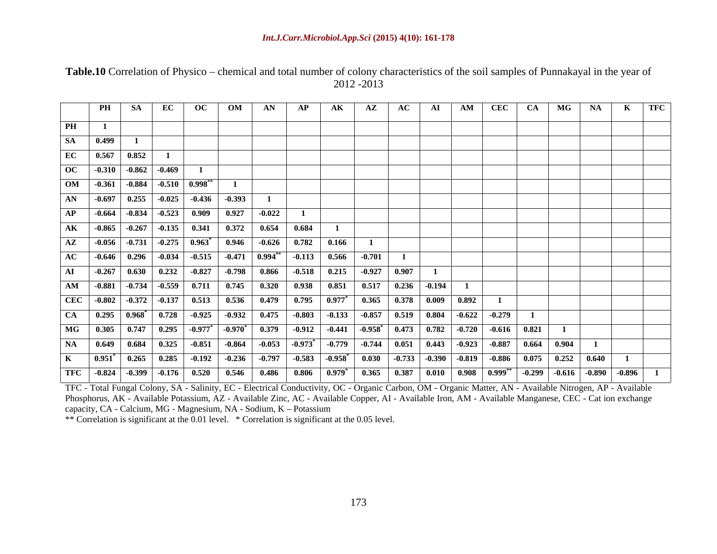|                                                                                                  |  | PH   SA   EC   OC   OM   AN   AP   AK   AZ   AC   AI   AM   CEC   CA   MG   NA   K   TFC                                                                                                                                                                                                                                                    |  |  |  |  |  |  |
|--------------------------------------------------------------------------------------------------|--|---------------------------------------------------------------------------------------------------------------------------------------------------------------------------------------------------------------------------------------------------------------------------------------------------------------------------------------------|--|--|--|--|--|--|
|                                                                                                  |  |                                                                                                                                                                                                                                                                                                                                             |  |  |  |  |  |  |
| PH                                                                                               |  |                                                                                                                                                                                                                                                                                                                                             |  |  |  |  |  |  |
| SA 0.499                                                                                         |  |                                                                                                                                                                                                                                                                                                                                             |  |  |  |  |  |  |
| $\begin{array}{ c c c c c c } \hline \text{EC} & \text{0.567} & \text{0.852} \hline \end{array}$ |  |                                                                                                                                                                                                                                                                                                                                             |  |  |  |  |  |  |
| $\overline{OC}$ -0.310 -0.862 -0.469                                                             |  |                                                                                                                                                                                                                                                                                                                                             |  |  |  |  |  |  |
| $\boxed{OM}$ -0.361 -0.884 -0.510 0.998 <sup>**</sup>                                            |  |                                                                                                                                                                                                                                                                                                                                             |  |  |  |  |  |  |
|                                                                                                  |  | $\overline{AN}$ -0.697 0.255 -0.025 -0.436 -0.393                                                                                                                                                                                                                                                                                           |  |  |  |  |  |  |
|                                                                                                  |  |                                                                                                                                                                                                                                                                                                                                             |  |  |  |  |  |  |
|                                                                                                  |  | $\overline{AP}$ -0.664 -0.834 -0.523 0.909 0.927 -0.022                                                                                                                                                                                                                                                                                     |  |  |  |  |  |  |
|                                                                                                  |  | AK -0.865 -0.267 -0.135 0.341 0.372 0.654 0.684 1                                                                                                                                                                                                                                                                                           |  |  |  |  |  |  |
|                                                                                                  |  | $\overline{AZ}$ -0.056 -0.731 -0.275 0.963 <sup>*</sup> 0.946 -0.626 0.782 0.166                                                                                                                                                                                                                                                            |  |  |  |  |  |  |
|                                                                                                  |  | $AC$ -0.646 0.296 -0.034 -0.515 -0.471 0.994 <sup>**</sup> -0.113 0.566 -0.701                                                                                                                                                                                                                                                              |  |  |  |  |  |  |
|                                                                                                  |  | AI   -0.267   0.630   0.232   -0.827   -0.798   0.866   -0.518   0.215   -0.927   0.907                                                                                                                                                                                                                                                     |  |  |  |  |  |  |
|                                                                                                  |  | AM -0.881 -0.734 -0.559 0.711 0.745 0.320 0.938 0.851 0.517 0.236 -0.194                                                                                                                                                                                                                                                                    |  |  |  |  |  |  |
|                                                                                                  |  | $\vert$ CEC $\vert$ -0.802 $\vert$ -0.372 $\vert$ -0.137 $\vert$ 0.513 $\vert$ 0.536 $\vert$ 0.479 $\vert$ 0.795 $\vert$ 0.977 <sup>*</sup> $\vert$ 0.365 $\vert$ 0.378 $\vert$ 0.009 $\vert$ 0.892 $\vert$                                                                                                                                 |  |  |  |  |  |  |
|                                                                                                  |  |                                                                                                                                                                                                                                                                                                                                             |  |  |  |  |  |  |
|                                                                                                  |  |                                                                                                                                                                                                                                                                                                                                             |  |  |  |  |  |  |
|                                                                                                  |  | $\boxed{MG}$ 0.305 0.747 0.295 -0.977 -0.970 0.379 -0.912 -0.441 -0.958 0.473 0.782 -0.720 -0.616 0.821                                                                                                                                                                                                                                     |  |  |  |  |  |  |
|                                                                                                  |  | NA 0.649 0.684 0.325 -0.851 -0.864 -0.053 -0.973 <sup>*</sup> -0.779 -0.744 0.051 0.443 -0.923 -0.887 0.664 0.904                                                                                                                                                                                                                           |  |  |  |  |  |  |
|                                                                                                  |  | $\overline{K}$ $\overline{0.951}^*$ $\overline{0.265}$ $\overline{0.285}$ $\overline{-0.192}$ $\overline{-0.236}$ $\overline{-0.797}$ $\overline{-0.583}$ $\overline{-0.958}^*$ $\overline{0.030}$ $\overline{-0.733}$ $\overline{-0.390}$ $\overline{-0.819}$ $\overline{-0.886}$ $\overline{0.075}$ $\overline{0.252}$ $\overline{0.640}$ |  |  |  |  |  |  |
|                                                                                                  |  | TFC -0.824 -0.399 -0.176 0.520 0.546 0.486 0.806 0.979 <sup>*</sup> 0.365 0.387 0.010 0.908 0.999 <sup>**</sup> -0.299 -0.616 -0.890 -0.896 1                                                                                                                                                                                               |  |  |  |  |  |  |

### Table.10 Correlation of Physico – chemical and total number of colony characteristics of the soil samples of Punnakayal in the year of 2012 -2013

TFC - Total Fungal Colony, SA - Salinity, EC - Electrical Conductivity, OC - Organic Carbon, OM - Organic Matter, AN - Available Nitrogen, AP - Available Phosphorus, AK - Available Potassium, AZ - Available Zinc, AC - Available Copper, AI - Available Iron, AM - Available Manganese, CEC - Cat ion exchange capacity, CA - Calcium, MG - Magnesium, NA - Sodium, K - Potassium

\*\* Correlation is significant at the 0.01 level. \* Correlation is significant at the 0.05 level.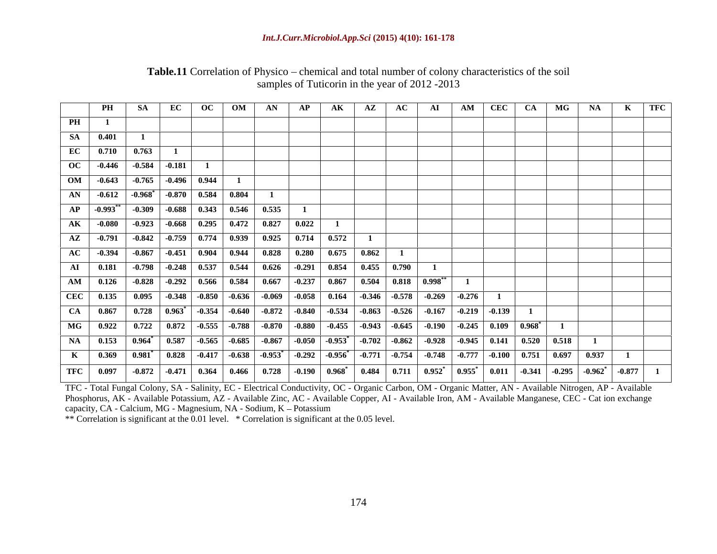|    |                 |                                                                               |                                                                                                                                                                                                                                                                                                                                                           |  |  |  |  |  |  | PH   SA   EC   OC   OM   AN   AP   AK   AZ   AC   AI   AM   CEC   CA   MG   NA   K   TFC |
|----|-----------------|-------------------------------------------------------------------------------|-----------------------------------------------------------------------------------------------------------------------------------------------------------------------------------------------------------------------------------------------------------------------------------------------------------------------------------------------------------|--|--|--|--|--|--|------------------------------------------------------------------------------------------|
| PH |                 |                                                                               |                                                                                                                                                                                                                                                                                                                                                           |  |  |  |  |  |  |                                                                                          |
|    |                 |                                                                               |                                                                                                                                                                                                                                                                                                                                                           |  |  |  |  |  |  |                                                                                          |
|    | <b>SA</b> 0.401 |                                                                               |                                                                                                                                                                                                                                                                                                                                                           |  |  |  |  |  |  |                                                                                          |
|    |                 |                                                                               |                                                                                                                                                                                                                                                                                                                                                           |  |  |  |  |  |  |                                                                                          |
|    |                 | $EC$ 0.710 0.763 1                                                            |                                                                                                                                                                                                                                                                                                                                                           |  |  |  |  |  |  |                                                                                          |
|    |                 | $\rm{OC}$   -0.446   -0.584   -0.181                                          |                                                                                                                                                                                                                                                                                                                                                           |  |  |  |  |  |  |                                                                                          |
|    |                 |                                                                               |                                                                                                                                                                                                                                                                                                                                                           |  |  |  |  |  |  |                                                                                          |
|    |                 | $\vert$ OM $\vert$ -0.643 $\vert$ -0.765 $\vert$ -0.496 $\vert$ 0.944 $\vert$ |                                                                                                                                                                                                                                                                                                                                                           |  |  |  |  |  |  |                                                                                          |
|    |                 |                                                                               |                                                                                                                                                                                                                                                                                                                                                           |  |  |  |  |  |  |                                                                                          |
|    |                 |                                                                               | AN   -0.612   -0.968 <sup>*</sup>   -0.870   0.584   0.804                                                                                                                                                                                                                                                                                                |  |  |  |  |  |  |                                                                                          |
|    |                 |                                                                               | AP   -0.993 <sup>**</sup>   -0.309   -0.688   0.343   0.546   0.535                                                                                                                                                                                                                                                                                       |  |  |  |  |  |  |                                                                                          |
|    |                 |                                                                               |                                                                                                                                                                                                                                                                                                                                                           |  |  |  |  |  |  |                                                                                          |
|    |                 |                                                                               | $\overline{\text{AK}}$ -0.080 -0.923 -0.668 0.295 0.472 0.827 0.022                                                                                                                                                                                                                                                                                       |  |  |  |  |  |  |                                                                                          |
|    |                 |                                                                               |                                                                                                                                                                                                                                                                                                                                                           |  |  |  |  |  |  |                                                                                          |
|    |                 |                                                                               | $\overline{AZ}$   -0.791   -0.842   -0.759   0.774   0.939   0.925   0.714   0.572                                                                                                                                                                                                                                                                        |  |  |  |  |  |  |                                                                                          |
|    |                 |                                                                               | AC   $-0.394$   $-0.867$   $-0.451$   $0.904$   $0.944$   $0.828$   $0.280$   $0.675$   $0.862$                                                                                                                                                                                                                                                           |  |  |  |  |  |  |                                                                                          |
|    |                 |                                                                               |                                                                                                                                                                                                                                                                                                                                                           |  |  |  |  |  |  |                                                                                          |
|    |                 |                                                                               | AI   0.181   -0.798   -0.248   0.537   0.544   0.626   -0.291   0.854   0.455   0.790                                                                                                                                                                                                                                                                     |  |  |  |  |  |  |                                                                                          |
|    |                 |                                                                               |                                                                                                                                                                                                                                                                                                                                                           |  |  |  |  |  |  |                                                                                          |
|    |                 |                                                                               |                                                                                                                                                                                                                                                                                                                                                           |  |  |  |  |  |  |                                                                                          |
|    |                 |                                                                               |                                                                                                                                                                                                                                                                                                                                                           |  |  |  |  |  |  |                                                                                          |
|    |                 |                                                                               |                                                                                                                                                                                                                                                                                                                                                           |  |  |  |  |  |  |                                                                                          |
|    |                 |                                                                               | $CA$   0.867   0.728   0.963 $^*$   -0.354   -0.640   -0.872   -0.840   -0.534   -0.863   -0.526   -0.167   -0.219   -0.139                                                                                                                                                                                                                               |  |  |  |  |  |  |                                                                                          |
|    |                 |                                                                               |                                                                                                                                                                                                                                                                                                                                                           |  |  |  |  |  |  |                                                                                          |
|    |                 |                                                                               | MG $\vert$ 0.922 $\vert$ 0.722 $\vert$ 0.872 $\vert$ -0.555 $\vert$ -0.788 $\vert$ -0.870 $\vert$ -0.880 $\vert$ -0.455 $\vert$ -0.943 $\vert$ -0.645 $\vert$ -0.190 $\vert$ -0.245 $\vert$ 0.109 $\vert$ 0.968 $\vert$                                                                                                                                   |  |  |  |  |  |  |                                                                                          |
|    |                 |                                                                               | NA   0.153   0.964 <sup>*</sup>   0.587   -0.565   -0.685   -0.867   -0.050   -0.953 <sup>*</sup>   -0.702   -0.862   -0.928   -0.945   0.141   0.520   0.518                                                                                                                                                                                             |  |  |  |  |  |  |                                                                                          |
|    |                 |                                                                               |                                                                                                                                                                                                                                                                                                                                                           |  |  |  |  |  |  |                                                                                          |
|    |                 |                                                                               | K 0.369 0.981 <sup>*</sup> 0.828 -0.417 -0.638 -0.953 <sup>*</sup> -0.292 -0.956 <sup>*</sup> -0.771 -0.754 -0.748 -0.777 -0.100 0.751 0.697 0.937                                                                                                                                                                                                        |  |  |  |  |  |  |                                                                                          |
|    |                 |                                                                               |                                                                                                                                                                                                                                                                                                                                                           |  |  |  |  |  |  |                                                                                          |
|    |                 |                                                                               | $^+$ TFC $\parallel$ 0.097 $\parallel$ -0.872 $\parallel$ -0.471 $\parallel$ 0.364 $\parallel$ 0.466 $\parallel$ 0.728 $\parallel$ -0.190 $\parallel$ 0.968 $^*$ $\parallel$ 0.484 $\parallel$ 0.711 $\parallel$ 0.952 $^*$ $\parallel$ 0.955 $^*$ $\parallel$ 0.011 $\parallel$ -0.341 $\parallel$ -0.295 $\parallel$ -0.962 $^*$ $\parallel$ -0.877 $\$ |  |  |  |  |  |  |                                                                                          |

### Table.11 Correlation of Physico – chemical and total number of colony characteristics of the soil samples of Tuticorin in the year of 2012 -2013

TFC - Total Fungal Colony, SA - Salinity, EC - Electrical Conductivity, OC - Organic Carbon, OM - Organic Matter, AN - Available Nitrogen, AP - Available Phosphorus, AK - Available Potassium, AZ - Available Zinc, AC - Available Copper, AI - Available Iron, AM - Available Manganese, CEC - Cat ion exchange capacity, CA - Calcium, MG - Magnesium, NA - Sodium, K - Potassium

\*\* Correlation is significant at the 0.01 level. \* Correlation is significant at the 0.05 level.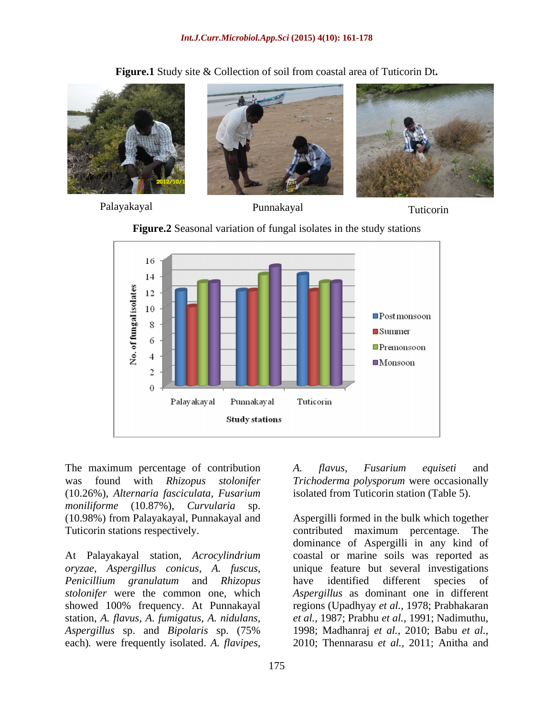

**Figure.1** Study site & Collection of soil from coastal area of Tuticorin Dt**.**



Palayakayal Punnakayal Tuticorin



**Figure.2** Seasonal variation of fungal isolates in the study stations

The maximum percentage of contribution A. flavus, Fusarium equiseti and (10.26%), *Alternaria fasciculata, Fusarium moniliforme* (10.87%), *Curvularia* sp.

*Aspergillus* sp. and *Bipolaris* sp. (75%

was found with *Rhizopus stolonifer Trichoderma polysporum* were occasionally isolated from Tuticorin station (Table 5).

(10.98%) from Palayakayal, Punnakayal and Aspergilli formed in the bulk which together Tuticorin stations respectively.<br>
At Palayakayal station, *Acrocylindrium* and constal or marine soils was reported as<br>
At Palayakayal station, *Acrocylindrium* coastal or marine soils was reported as *oryzae, Aspergillus conicus, A. fuscus,* unique feature but several investigations *Penicillium granulatum* and *Rhizopus stolonifer* were the common one, which *Aspergillus* as dominant one in different showed 100% frequency. At Punnakayal regions (Upadhyay *et al.,* 1978; Prabhakaran station, *A. flavus*, *A. fumigatus, A. nidulans, et al.,* 1987; Prabhu *et al.,* 1991; Nadimuthu, The maximum percentage of contribution A. *flavius, Fusarium equiseti* and<br>
vars found with *Rhizopus stolonifer* Trichoderma polysporum were occasionally<br>
(10.26%), *Alternaria fasciculata, Fusarium* isolated from Tuticor contributed maximum percentage. The dominance of Aspergilli in any kind of coastal or marine soils was reported as have identified different species of 1998; Madhanraj *et al.,* 2010; Babu *et al.,* 2010; Thennarasu *et al.,* 2011; Anitha and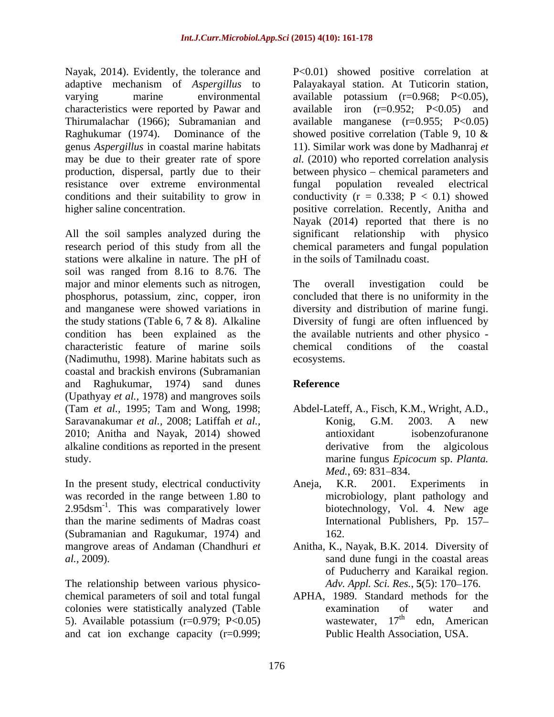characteristics were reported by Pawar and resistance over extreme environmental

All the soil samples analyzed during the significant relationship with physico stations were alkaline in nature. The pH of soil was ranged from 8.16 to 8.76. The major and minor elements such as nitrogen, The overall investigation could be characteristic feature of marine soils (Nadimuthu, 1998). Marine habitats such as coastal and brackish environs (Subramanian and Raghukumar, 1974) sand dunes **Reference** (Upathyay *et al.,* 1978) and mangroves soils (Tam *et al.,* 1995; Tam and Wong, 1998; Saravanakumar *et al.,* 2008; Latiffah *et al.,* 2010; Anitha and Nayak, 2014) showed alkaline conditions as reported in the present study. The marine fungus *Epicocum* sp. *Planta*.

was recorded in the range between 1.80 to 2.95dsm<sup>-1</sup>. This was comparatively lower than the marine sediments of Madras coast (Subramanian and Ragukumar, 1974) and

The relationship between various physico chemical parameters of soil and total fungal colonies were statistically analyzed (Table  $\qquad$  examination of water and  $\qquad$  5). Available potassium (r=0.979: P<0.05) was examination  $17^{\text{th}}$  edn. American 5). Available potassium ( $r=0.979$ ; P<0.05) wastewater,  $17<sup>th</sup>$  edn, American and cat ion exchange capacity (r=0.999;

Nayak, 2014). Evidently, the tolerance and P<0.01) showed positive correlation at adaptive mechanism of *Aspergillus* to Palayakayal station. At Tuticorin station, varying marine environmental available potassium (r=0.968; P<0.05), Thirumalachar (1966); Subramanian and available manganese (r=0.955; P<0.05) Raghukumar (1974). Dominance of the showed positive correlation (Table 9, 10 & genus *Aspergillus* in coastal marine habitats 11). Similar work was done by Madhanraj *et*  may be due to their greater rate of spore *al.* (2010) who reported correlation analysis production, dispersal, partly due to their between physico chemical parameters and conditions and their suitability to grow in conductivity  $(r = 0.338; P < 0.1)$  showed higher saline concentration. positive correlation. Recently, Anitha and research period of this study from all the chemical parameters and fungal population iron  $(r=0.952; P<0.05)$  and fungal population revealed electrical Nayak (2014) reported that there is no significant relationship with physico in the soils of Tamilnadu coast.

phosphorus, potassium, zinc, copper, iron concluded that there is no uniformity in the and manganese were showed variations in diversity and distribution of marine fungi. the study stations (Table 6, 7 & 8). Alkaline Diversity of fungi are often influenced by condition has been explained as the the available nutrients and other physico - The overall investigation could be chemical conditions of the coastal ecosystems.

# **Reference**

- Abdel-Lateff, A., Fisch, K.M., Wright, A.D., Konig, G.M. 2003. A new antioxidant isobenzofuranone derivative from the algicolous marine fungus *Epicocum* sp. *Planta. Med.*, 69: 831–834.
- In the present study, electrical conductivity Aneja, K.R. 2001. Experiments in biotechnology, Vol. 4. New age Aneja, K.R. 2001. Experiments in microbiology, plant pathology and biotechnology, Vol. 4. New age International Publishers, Pp.157 162.
- mangrove areas of Andaman (Chandhuri *et*  Anitha, K., Nayak, B.K. 2014. Diversity of *al.,* 2009). sand dune fungi in the coastal areas of Puducherry and Karaikal region. *Adv. Appl. Sci. Res.*, **5**(5): 170–176.
	- APHA, 1989. Standard methods for the examination of water and wastewater, 17<sup>th</sup> edn, American edn, American Public Health Association, USA.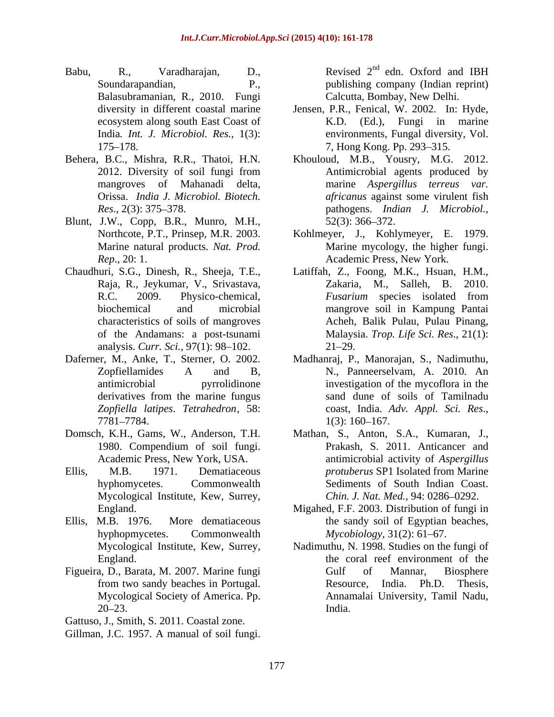- Babu, R., Varadharajan, D., Revised 2<sup>nd</sup> edn. Oxford and IBH Balasubramanian, R., 2010. Fungi
- 
- Blunt, J.W., Copp, B.R., Munro, M.H.,
- analysis. *Curr. Sci.*, 97(1): 98–102. 21–29.
- 
- 
- Mycological Institute, Kew, Surrey,
- hyphopmycetes. Commonwealth *Mycobiology*, 31(2): 61–67.
- 

Gattuso, J., Smith, S. 2011. Coastal zone.

Soundarapandian, The P., publishing company (Indian reprint) <sup>nd</sup> edn. Oxford and IBH Calcutta, Bombay, New Delhi.

- diversity in different coastal marine Jensen, P.R., Fenical, W. 2002. In: Hyde, ecosystem along south East Coast of TER.D. (Ed.), Fungi in marine India*. Int. J. Microbiol. Res.,* 1(3): environments, Fungal diversity, Vol. 175 178. 7, Hong Kong. Pp. 293 315. K.D. (Ed.), Fungi in marine
- Behera, B.C., Mishra, R.R., Thatoi, H.N. Khouloud, M.B., Yousry, M.G. 2012. 2012. Diversity of soil fungi from mangroves of Mahanadi delta, marine *Aspergillus terreus var.* Orissa. *India J. Microbiol. Biotech. africanus* against some virulent fish *Res*., 2(3): 375 378. pathogens. *Indian J. Microbiol.,* Antimicrobial agents produced by  $52(3)$ : 366–372.
	- Northcote, P.T., Prinsep, M.R. 2003. Kohlmeyer, J., Kohlymeyer, E. 1979. Marine natural products. *Nat. Prod.* Marine mycology, the higher fungi. *Rep*., 20: 1. Academic Press, New York.
- Chaudhuri, S.G., Dinesh, R., Sheeja, T.E., Latiffah, Z., Foong, M.K., Hsuan, H.M., Raja, R., Jeykumar, V., Srivastava, Zakaria, M., Salleh, B. 2010. R.C. 2009. Physico-chemical, *Fusarium* species isolated from biochemical and microbial mangrove soil in Kampung Pantai characteristics of soils of mangroves Acheh, Balik Pulau, Pulau Pinang, of the Andamans: a post-tsunami Malaysia. *Trop. Life Sci. Res*., 21(1): Figh. R. Variandham, D. R. Variandham, D. R. Variandham, S. 2000. Dende and Hillman (S. 2001). The pair of the solid fungile continuous is considered and Hillman of the solid fungile of the solid fungile of the solid fung Zakaria, M., Salleh, B. *Fusarium* species isolated from  $21 - 29.$
- Daferner, M., Anke, T., Sterner, O. 2002. Madhanraj, P., Manorajan, S., Nadimuthu, Zopfiellamides A and B, N., Panneerselvam, A. 2010. An antimicrobial pyrrolidinone investigation of the mycoflora in the derivatives from the marine fungus sand dune of soils of Tamilnadu *Zopfiella latipes*. *Tetrahedron*, 58:  $7781 - 7784.$   $1(3): 160 - 167.$ N., Panneerselvam, A. 2010. An sand dune of soils of Tamilnadu coast, India. *Adv. Appl. Sci. Res*., 1(3): 160 167.
- Domsch, K.H., Gams, W., Anderson, T.H. Mathan, S., Anton, S.A., Kumaran, J., 1980. Compendium of soil fungi. Academic Press, New York, USA. antimicrobial activity of *Aspergillus*  Ellis, M.B. 1971. Dematiaceous *protuberus* SP1 Isolated from Marine hyphomycetes. Commonwealth Sediments of South Indian Coast. Prakash, S. 2011. Anticancer and *Chin. J. Nat. Med., 94: 0286-0292.*
- England. Migahed, F.F. 2003. Distribution of fungi in Ellis, M.B. 1976. More dematiaceous the sandy soil of Egyptian beaches, *Mycobiology,* 31(2): 61–67.
- Mycological Institute, Kew, Surrey, Nadimuthu, N. 1998. Studies on the fungi of England. The coral reef environment of the coral reservices and the coral reef environment of the Figueira, D., Barata, M. 2007. Marine fungi from two sandy beaches in Portugal. **Exercise** Resource, India. Ph.D. Thesis, Mycological Society of America. Pp. Annamalai University, Tamil Nadu, 20–23. India. Gulf of Mannar, Biosphere Resource, India. Ph.D. Thesis, India.